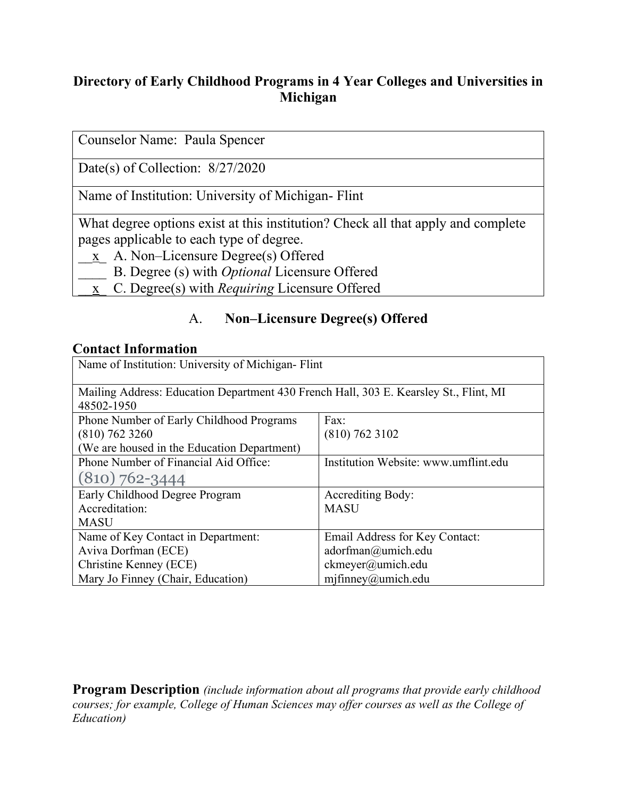### **Directory of Early Childhood Programs in 4 Year Colleges and Universities in Michigan**

Date(s) of Collection: 8/27/2020

Name of Institution: University of Michigan- Flint

What degree options exist at this institution? Check all that apply and complete pages applicable to each type of degree.

- \_\_x\_ A. Non–Licensure Degree(s) Offered
- \_\_\_\_ B. Degree (s) with *Optional* Licensure Offered
- \_\_x\_ C. Degree(s) with *Requiring* Licensure Offered

### A. **Non–Licensure Degree(s) Offered**

#### **Contact Information**

| Name of Institution: University of Michigan-Flint                                     |                                      |  |
|---------------------------------------------------------------------------------------|--------------------------------------|--|
|                                                                                       |                                      |  |
| Mailing Address: Education Department 430 French Hall, 303 E. Kearsley St., Flint, MI |                                      |  |
| 48502-1950                                                                            |                                      |  |
| Phone Number of Early Childhood Programs                                              | Fax:                                 |  |
| $(810)$ 762 3260                                                                      | $(810)$ 762 3102                     |  |
| (We are housed in the Education Department)                                           |                                      |  |
| Phone Number of Financial Aid Office:                                                 | Institution Website: www.umflint.edu |  |
| $(810) 762 - 3444$                                                                    |                                      |  |
| Early Childhood Degree Program                                                        | <b>Accrediting Body:</b>             |  |
| Accreditation:                                                                        | <b>MASU</b>                          |  |
| <b>MASU</b>                                                                           |                                      |  |
| Name of Key Contact in Department:                                                    | Email Address for Key Contact:       |  |
| Aviva Dorfman (ECE)                                                                   | adorfman@umich.edu                   |  |
| Christine Kenney (ECE)                                                                | ckmeyer@umich.edu                    |  |
| Mary Jo Finney (Chair, Education)                                                     | $m$ jfinney@umich.edu                |  |

**Program Description** *(include information about all programs that provide early childhood courses; for example, College of Human Sciences may offer courses as well as the College of Education)*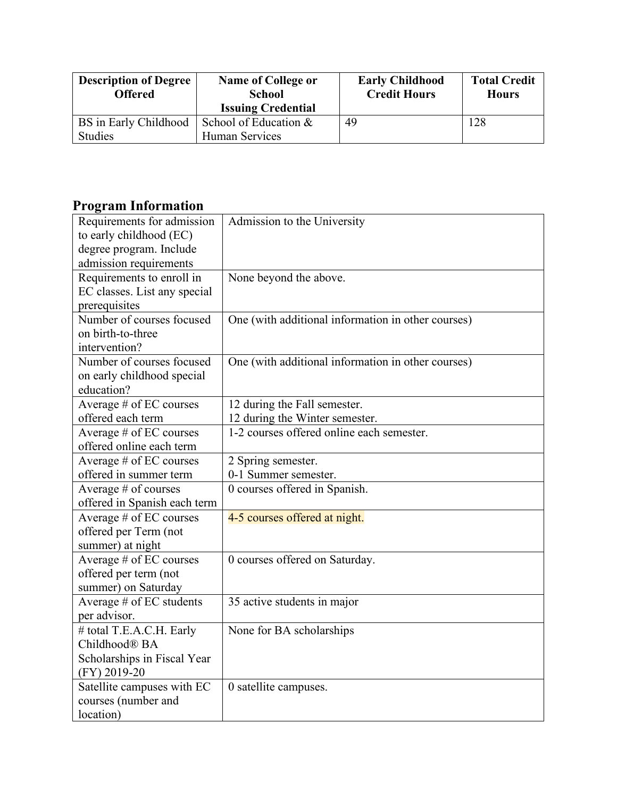| <b>Description of Degree</b><br><b>Offered</b> | <b>Name of College or</b><br><b>School</b><br><b>Issuing Credential</b> | <b>Early Childhood</b><br><b>Credit Hours</b> | <b>Total Credit</b><br><b>Hours</b> |
|------------------------------------------------|-------------------------------------------------------------------------|-----------------------------------------------|-------------------------------------|
| BS in Early Childhood  <br><b>Studies</b>      | School of Education &<br>Human Services                                 | 49                                            | 128                                 |

### **Program Information**

| Requirements for admission   | Admission to the University                        |
|------------------------------|----------------------------------------------------|
| to early childhood (EC)      |                                                    |
| degree program. Include      |                                                    |
| admission requirements       |                                                    |
| Requirements to enroll in    | None beyond the above.                             |
| EC classes. List any special |                                                    |
| prerequisites                |                                                    |
| Number of courses focused    | One (with additional information in other courses) |
| on birth-to-three            |                                                    |
| intervention?                |                                                    |
| Number of courses focused    | One (with additional information in other courses) |
| on early childhood special   |                                                    |
| education?                   |                                                    |
| Average # of EC courses      | 12 during the Fall semester.                       |
| offered each term            | 12 during the Winter semester.                     |
| Average # of EC courses      | 1-2 courses offered online each semester.          |
| offered online each term     |                                                    |
| Average # of EC courses      | 2 Spring semester.                                 |
| offered in summer term       | 0-1 Summer semester.                               |
| Average # of courses         | 0 courses offered in Spanish.                      |
| offered in Spanish each term |                                                    |
| Average # of EC courses      | 4-5 courses offered at night.                      |
| offered per Term (not        |                                                    |
| summer) at night             |                                                    |
| Average # of EC courses      | 0 courses offered on Saturday.                     |
| offered per term (not        |                                                    |
| summer) on Saturday          |                                                    |
| Average # of EC students     | 35 active students in major                        |
| per advisor.                 |                                                    |
| # total T.E.A.C.H. Early     | None for BA scholarships                           |
| Childhood® BA                |                                                    |
| Scholarships in Fiscal Year  |                                                    |
| (FY) 2019-20                 |                                                    |
| Satellite campuses with EC   | 0 satellite campuses.                              |
| courses (number and          |                                                    |
| location)                    |                                                    |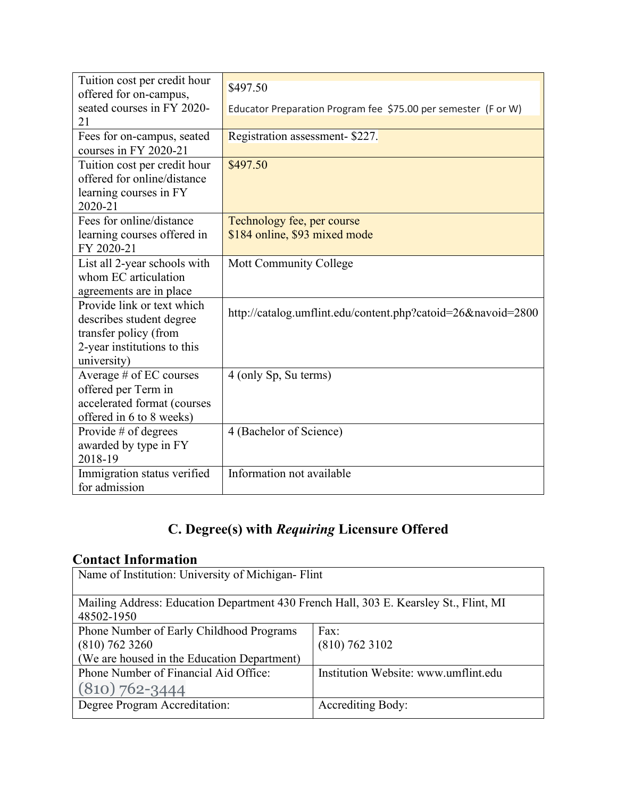| Tuition cost per credit hour | \$497.50                                                       |
|------------------------------|----------------------------------------------------------------|
| offered for on-campus,       |                                                                |
| seated courses in FY 2020-   | Educator Preparation Program fee \$75.00 per semester (F or W) |
| 21                           |                                                                |
| Fees for on-campus, seated   | Registration assessment- \$227.                                |
| courses in FY 2020-21        |                                                                |
| Tuition cost per credit hour | \$497.50                                                       |
| offered for online/distance  |                                                                |
| learning courses in FY       |                                                                |
| 2020-21                      |                                                                |
| Fees for online/distance     | Technology fee, per course                                     |
| learning courses offered in  | \$184 online, \$93 mixed mode                                  |
| FY 2020-21                   |                                                                |
| List all 2-year schools with | Mott Community College                                         |
| whom EC articulation         |                                                                |
| agreements are in place      |                                                                |
| Provide link or text which   | http://catalog.umflint.edu/content.php?catoid=26&navoid=2800   |
| describes student degree     |                                                                |
| transfer policy (from        |                                                                |
| 2-year institutions to this  |                                                                |
| university)                  |                                                                |
| Average # of EC courses      | 4 (only Sp, Su terms)                                          |
| offered per Term in          |                                                                |
| accelerated format (courses  |                                                                |
| offered in 6 to 8 weeks)     |                                                                |
| Provide # of degrees         | 4 (Bachelor of Science)                                        |
| awarded by type in FY        |                                                                |
| 2018-19                      |                                                                |
| Immigration status verified  | Information not available                                      |
| for admission                |                                                                |

# **C. Degree(s) with** *Requiring* **Licensure Offered**

## **Contact Information**

| Name of Institution: University of Michigan-Flint                                     |                                      |  |
|---------------------------------------------------------------------------------------|--------------------------------------|--|
| Mailing Address: Education Department 430 French Hall, 303 E. Kearsley St., Flint, MI |                                      |  |
| 48502-1950                                                                            |                                      |  |
| Phone Number of Early Childhood Programs                                              | Fax:                                 |  |
| $(810)$ 762 3260                                                                      | $(810)$ 762 3102                     |  |
| (We are housed in the Education Department)                                           |                                      |  |
| Phone Number of Financial Aid Office:                                                 | Institution Website: www.umflint.edu |  |
| $(810) 762 - 3444$                                                                    |                                      |  |
| Degree Program Accreditation:                                                         | <b>Accrediting Body:</b>             |  |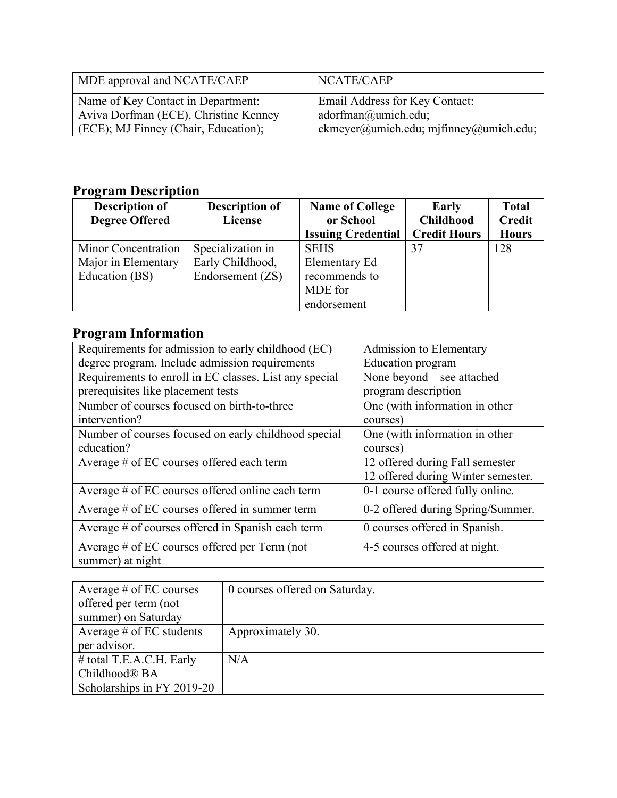| MDE approval and NCATE/CAEP           | NCATE/CAEP                             |
|---------------------------------------|----------------------------------------|
| Name of Key Contact in Department:    | Email Address for Key Contact:         |
| Aviva Dorfman (ECE), Christine Kenney | $adorfman@$ umich.edu;                 |
| (ECE); MJ Finney (Chair, Education);  | ckmeyer@umich.edu; mjfinney@umich.edu; |

## **Program Description**

| <b>Description of</b> | <b>Description of</b> | <b>Name of College</b>    | Early               | <b>Total</b>  |
|-----------------------|-----------------------|---------------------------|---------------------|---------------|
| <b>Degree Offered</b> | License               | or School                 | <b>Childhood</b>    | <b>Credit</b> |
|                       |                       | <b>Issuing Credential</b> | <b>Credit Hours</b> | <b>Hours</b>  |
| Minor Concentration   | Specialization in     | <b>SEHS</b>               | 37                  | 128           |
| Major in Elementary   | Early Childhood,      | Elementary Ed             |                     |               |
| Education (BS)        | Endorsement (ZS)      | recommends to             |                     |               |
|                       |                       | MDE for                   |                     |               |
|                       |                       | endorsement               |                     |               |

## **Program Information**

| Requirements for admission to early childhood (EC)     | Admission to Elementary            |
|--------------------------------------------------------|------------------------------------|
| degree program. Include admission requirements         | <b>Education</b> program           |
| Requirements to enroll in EC classes. List any special | None beyond – see attached         |
| prerequisites like placement tests                     | program description                |
| Number of courses focused on birth-to-three            | One (with information in other     |
| intervention?                                          | courses)                           |
| Number of courses focused on early childhood special   | One (with information in other     |
| education?                                             | courses)                           |
| Average # of EC courses offered each term              | 12 offered during Fall semester    |
|                                                        | 12 offered during Winter semester. |
| Average # of EC courses offered online each term       | 0-1 course offered fully online.   |
| Average # of EC courses offered in summer term         | 0-2 offered during Spring/Summer.  |
| Average # of courses offered in Spanish each term      | 0 courses offered in Spanish.      |
| Average $\#$ of EC courses offered per Term (not       | 4-5 courses offered at night.      |
| summer) at night                                       |                                    |

| Average $#$ of EC courses  | 0 courses offered on Saturday. |
|----------------------------|--------------------------------|
| offered per term (not      |                                |
| summer) on Saturday        |                                |
| Average $#$ of EC students | Approximately 30.              |
| per advisor.               |                                |
| # total T.E.A.C.H. Early   | N/A                            |
| Childhood <sup>®</sup> BA  |                                |
| Scholarships in FY 2019-20 |                                |